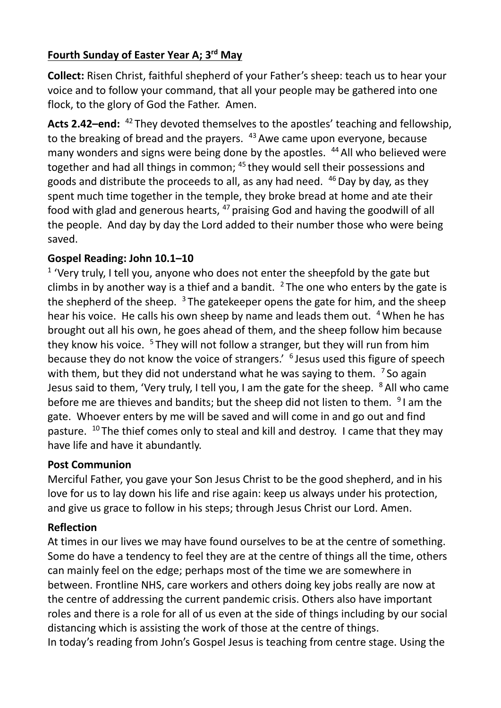## **Fourth Sunday of Easter Year A; 3rd May**

**Collect:** Risen Christ, faithful shepherd of your Father's sheep: teach us to hear your voice and to follow your command, that all your people may be gathered into one flock, to the glory of God the Father. Amen.

Acts 2.42-end: <sup>42</sup> They devoted themselves to the apostles' teaching and fellowship, to the breaking of bread and the prayers. <sup>43</sup> Awe came upon everyone, because many wonders and signs were being done by the apostles. <sup>44</sup> All who believed were together and had all things in common; <sup>45</sup> they would sell their possessions and goods and distribute the proceeds to all, as any had need.  $46$  Day by day, as they spent much time together in the temple, they broke bread at home and ate their food with glad and generous hearts,  $47$  praising God and having the goodwill of all the people. And day by day the Lord added to their number those who were being saved.

## **Gospel Reading: John 10.1–10**

 $1$  'Very truly, I tell you, anyone who does not enter the sheepfold by the gate but climbs in by another way is a thief and a bandit.  $2$  The one who enters by the gate is the shepherd of the sheep.  $3$  The gatekeeper opens the gate for him, and the sheep hear his voice. He calls his own sheep by name and leads them out. <sup>4</sup> When he has brought out all his own, he goes ahead of them, and the sheep follow him because they know his voice.  $5$  They will not follow a stranger, but they will run from him because they do not know the voice of strangers.' <sup>6</sup> Jesus used this figure of speech with them, but they did not understand what he was saying to them.  $\frac{7}{3}$  So again Jesus said to them, 'Very truly, I tell you, I am the gate for the sheep.  $8$  All who came before me are thieves and bandits; but the sheep did not listen to them.  $91$  am the gate. Whoever enters by me will be saved and will come in and go out and find pasture.  $10$  The thief comes only to steal and kill and destroy. I came that they may have life and have it abundantly.

## **Post Communion**

Merciful Father, you gave your Son Jesus Christ to be the good shepherd, and in his love for us to lay down his life and rise again: keep us always under his protection, and give us grace to follow in his steps; through Jesus Christ our Lord. Amen.

## **Reflection**

At times in our lives we may have found ourselves to be at the centre of something. Some do have a tendency to feel they are at the centre of things all the time, others can mainly feel on the edge; perhaps most of the time we are somewhere in between. Frontline NHS, care workers and others doing key jobs really are now at the centre of addressing the current pandemic crisis. Others also have important roles and there is a role for all of us even at the side of things including by our social distancing which is assisting the work of those at the centre of things. In today's reading from John's Gospel Jesus is teaching from centre stage. Using the